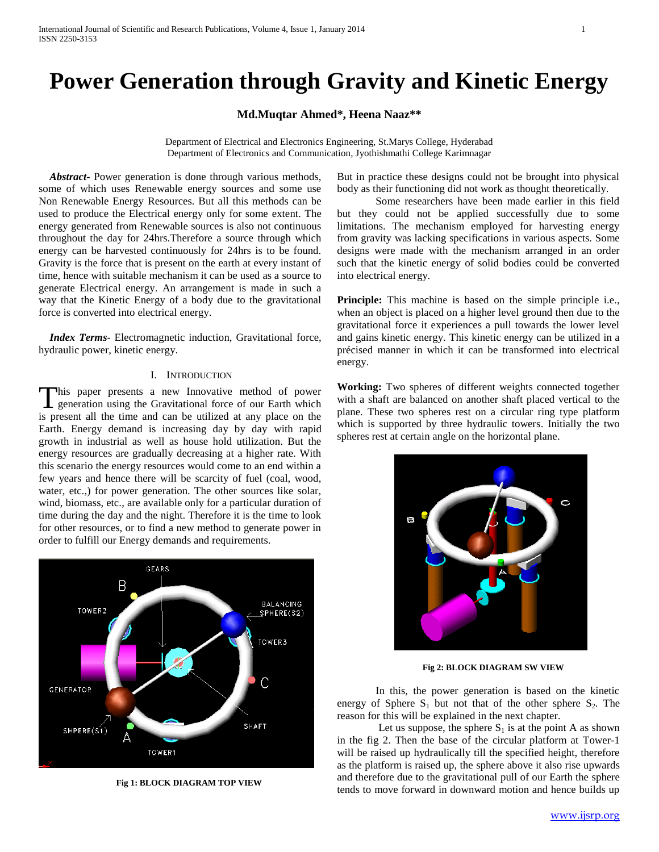# **Power Generation through Gravity and Kinetic Energy**

**Md.Muqtar Ahmed\*, Heena Naaz\*\***

Department of Electrical and Electronics Engineering, St.Marys College, Hyderabad Department of Electronics and Communication, Jyothishmathi College Karimnagar

 *Abstract***-** Power generation is done through various methods, some of which uses Renewable energy sources and some use Non Renewable Energy Resources. But all this methods can be used to produce the Electrical energy only for some extent. The energy generated from Renewable sources is also not continuous throughout the day for 24hrs.Therefore a source through which energy can be harvested continuously for 24hrs is to be found. Gravity is the force that is present on the earth at every instant of time, hence with suitable mechanism it can be used as a source to generate Electrical energy. An arrangement is made in such a way that the Kinetic Energy of a body due to the gravitational force is converted into electrical energy.

 *Index Terms*- Electromagnetic induction, Gravitational force, hydraulic power, kinetic energy.

#### I. INTRODUCTION

his paper presents a new Innovative method of power This paper presents a new Innovative method of power<br>generation using the Gravitational force of our Earth which is present all the time and can be utilized at any place on the Earth. Energy demand is increasing day by day with rapid growth in industrial as well as house hold utilization. But the energy resources are gradually decreasing at a higher rate. With this scenario the energy resources would come to an end within a few years and hence there will be scarcity of fuel (coal, wood, water, etc.,) for power generation. The other sources like solar, wind, biomass, etc., are available only for a particular duration of time during the day and the night. Therefore it is the time to look for other resources, or to find a new method to generate power in order to fulfill our Energy demands and requirements.



**Fig 1: BLOCK DIAGRAM TOP VIEW**

But in practice these designs could not be brought into physical body as their functioning did not work as thought theoretically.

Some researchers have been made earlier in this field but they could not be applied successfully due to some limitations. The mechanism employed for harvesting energy from gravity was lacking specifications in various aspects. Some designs were made with the mechanism arranged in an order such that the kinetic energy of solid bodies could be converted into electrical energy.

**Principle:** This machine is based on the simple principle i.e., when an object is placed on a higher level ground then due to the gravitational force it experiences a pull towards the lower level and gains kinetic energy. This kinetic energy can be utilized in a précised manner in which it can be transformed into electrical energy.

**Working:** Two spheres of different weights connected together with a shaft are balanced on another shaft placed vertical to the plane. These two spheres rest on a circular ring type platform which is supported by three hydraulic towers. Initially the two spheres rest at certain angle on the horizontal plane.



 **Fig 2: BLOCK DIAGRAM SW VIEW**

In this, the power generation is based on the kinetic energy of Sphere  $S_1$  but not that of the other sphere  $S_2$ . The reason for this will be explained in the next chapter.

Let us suppose, the sphere  $S_1$  is at the point A as shown in the fig 2. Then the base of the circular platform at Tower-1 will be raised up hydraulically till the specified height, therefore as the platform is raised up, the sphere above it also rise upwards and therefore due to the gravitational pull of our Earth the sphere tends to move forward in downward motion and hence builds up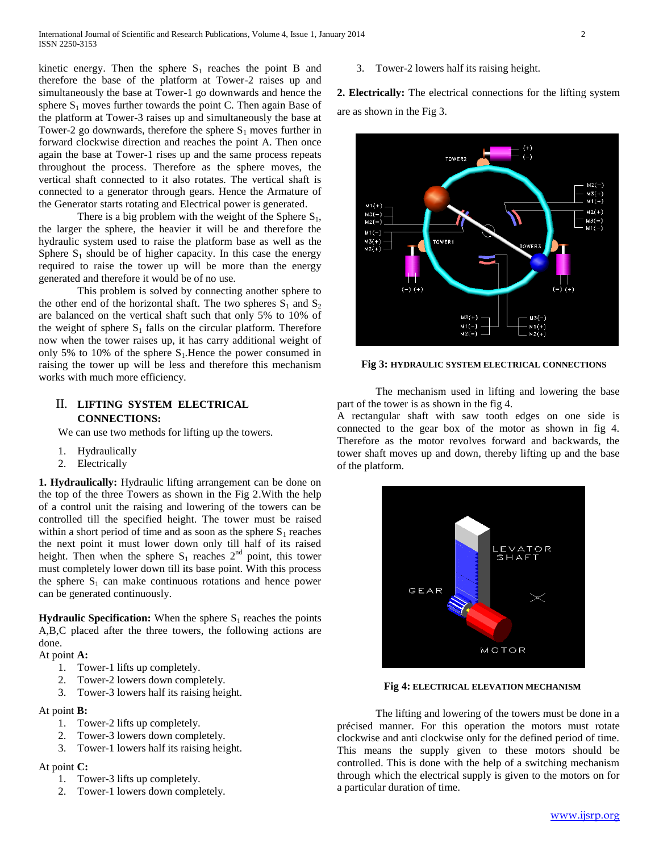kinetic energy. Then the sphere  $S_1$  reaches the point B and therefore the base of the platform at Tower-2 raises up and simultaneously the base at Tower-1 go downwards and hence the sphere  $S_1$  moves further towards the point C. Then again Base of the platform at Tower-3 raises up and simultaneously the base at Tower-2 go downwards, therefore the sphere  $S_1$  moves further in forward clockwise direction and reaches the point A. Then once again the base at Tower-1 rises up and the same process repeats throughout the process. Therefore as the sphere moves, the vertical shaft connected to it also rotates. The vertical shaft is connected to a generator through gears. Hence the Armature of the Generator starts rotating and Electrical power is generated.

There is a big problem with the weight of the Sphere  $S_1$ , the larger the sphere, the heavier it will be and therefore the hydraulic system used to raise the platform base as well as the Sphere  $S_1$  should be of higher capacity. In this case the energy required to raise the tower up will be more than the energy generated and therefore it would be of no use.

This problem is solved by connecting another sphere to the other end of the horizontal shaft. The two spheres  $S_1$  and  $S_2$ are balanced on the vertical shaft such that only 5% to 10% of the weight of sphere  $S_1$  falls on the circular platform. Therefore now when the tower raises up, it has carry additional weight of only 5% to 10% of the sphere  $S_1$ . Hence the power consumed in raising the tower up will be less and therefore this mechanism works with much more efficiency.

# II. **LIFTING SYSTEM ELECTRICAL CONNECTIONS:**

We can use two methods for lifting up the towers.

- 1. Hydraulically
- 2. Electrically

**1. Hydraulically:** Hydraulic lifting arrangement can be done on the top of the three Towers as shown in the Fig 2.With the help of a control unit the raising and lowering of the towers can be controlled till the specified height. The tower must be raised within a short period of time and as soon as the sphere  $S_1$  reaches the next point it must lower down only till half of its raised height. Then when the sphere  $S_1$  reaches  $2^{nd}$  point, this tower must completely lower down till its base point. With this process the sphere  $S_1$  can make continuous rotations and hence power can be generated continuously.

**Hydraulic Specification:** When the sphere  $S_1$  reaches the points A,B,C placed after the three towers, the following actions are done.

- At point **A:**
	- 1. Tower-1 lifts up completely.
	- 2. Tower-2 lowers down completely.
	- 3. Tower-3 lowers half its raising height.

## At point **B:**

- 1. Tower-2 lifts up completely.
- 2. Tower-3 lowers down completely.
- 3. Tower-1 lowers half its raising height.

### At point **C:**

- 1. Tower-3 lifts up completely.
- 2. Tower-1 lowers down completely.

#### 3. Tower-2 lowers half its raising height.

**2. Electrically:** The electrical connections for the lifting system are as shown in the Fig 3.



### **Fig 3: HYDRAULIC SYSTEM ELECTRICAL CONNECTIONS**

The mechanism used in lifting and lowering the base part of the tower is as shown in the fig 4.

A rectangular shaft with saw tooth edges on one side is connected to the gear box of the motor as shown in fig 4. Therefore as the motor revolves forward and backwards, the tower shaft moves up and down, thereby lifting up and the base of the platform.



 **Fig 4: ELECTRICAL ELEVATION MECHANISM**

The lifting and lowering of the towers must be done in a précised manner. For this operation the motors must rotate clockwise and anti clockwise only for the defined period of time. This means the supply given to these motors should be controlled. This is done with the help of a switching mechanism through which the electrical supply is given to the motors on for a particular duration of time.